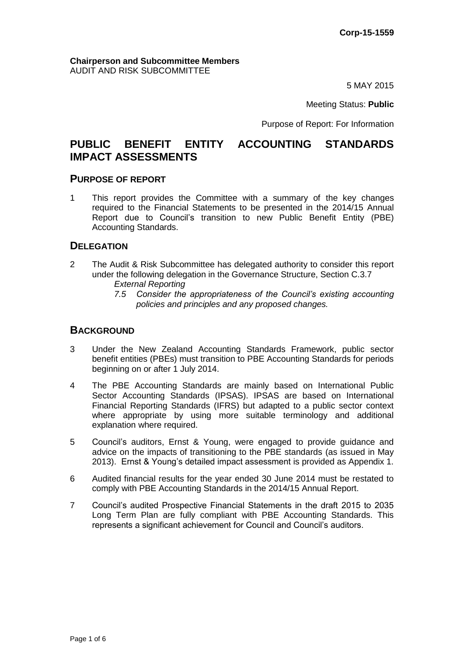#### **Chairperson and Subcommittee Members** AUDIT AND RISK SUBCOMMITTEE

5 MAY 2015

Meeting Status: **Public**

Purpose of Report: For Information

# **PUBLIC BENEFIT ENTITY ACCOUNTING STANDARDS IMPACT ASSESSMENTS**

## **PURPOSE OF REPORT**

1 This report provides the Committee with a summary of the key changes required to the Financial Statements to be presented in the 2014/15 Annual Report due to Council's transition to new Public Benefit Entity (PBE) Accounting Standards.

## **DELEGATION**

- 2 The Audit & Risk Subcommittee has delegated authority to consider this report under the following delegation in the Governance Structure, Section C.3.7
	- *External Reporting*
	- *7.5 Consider the appropriateness of the Council's existing accounting policies and principles and any proposed changes.*

## **BACKGROUND**

- 3 Under the New Zealand Accounting Standards Framework, public sector benefit entities (PBEs) must transition to PBE Accounting Standards for periods beginning on or after 1 July 2014.
- 4 The PBE Accounting Standards are mainly based on International Public Sector Accounting Standards (IPSAS). IPSAS are based on International Financial Reporting Standards (IFRS) but adapted to a public sector context where appropriate by using more suitable terminology and additional explanation where required.
- 5 Council's auditors, Ernst & Young, were engaged to provide guidance and advice on the impacts of transitioning to the PBE standards (as issued in May 2013). Ernst & Young's detailed impact assessment is provided as Appendix 1.
- 6 Audited financial results for the year ended 30 June 2014 must be restated to comply with PBE Accounting Standards in the 2014/15 Annual Report.
- 7 Council's audited Prospective Financial Statements in the draft 2015 to 2035 Long Term Plan are fully compliant with PBE Accounting Standards. This represents a significant achievement for Council and Council's auditors.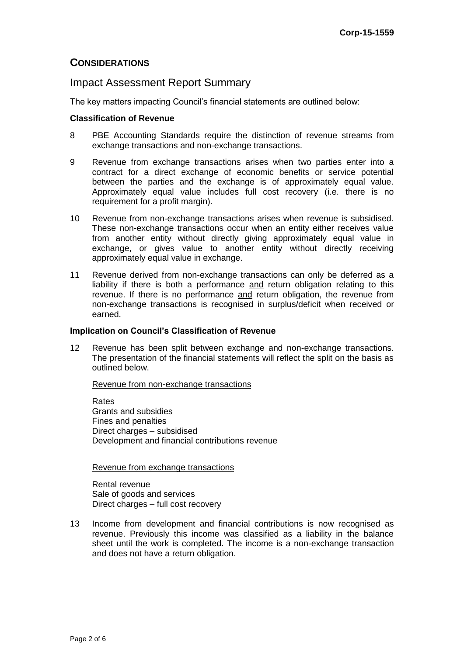## **CONSIDERATIONS**

## Impact Assessment Report Summary

The key matters impacting Council's financial statements are outlined below:

#### **Classification of Revenue**

- 8 PBE Accounting Standards require the distinction of revenue streams from exchange transactions and non-exchange transactions.
- 9 Revenue from exchange transactions arises when two parties enter into a contract for a direct exchange of economic benefits or service potential between the parties and the exchange is of approximately equal value. Approximately equal value includes full cost recovery (i.e. there is no requirement for a profit margin).
- 10 Revenue from non-exchange transactions arises when revenue is subsidised. These non-exchange transactions occur when an entity either receives value from another entity without directly giving approximately equal value in exchange, or gives value to another entity without directly receiving approximately equal value in exchange.
- 11 Revenue derived from non-exchange transactions can only be deferred as a liability if there is both a performance and return obligation relating to this revenue. If there is no performance and return obligation, the revenue from non-exchange transactions is recognised in surplus/deficit when received or earned.

### **Implication on Council's Classification of Revenue**

12 Revenue has been split between exchange and non-exchange transactions. The presentation of the financial statements will reflect the split on the basis as outlined below.

#### Revenue from non-exchange transactions

Rates Grants and subsidies Fines and penalties Direct charges – subsidised Development and financial contributions revenue

### Revenue from exchange transactions

Rental revenue Sale of goods and services Direct charges – full cost recovery

13 Income from development and financial contributions is now recognised as revenue. Previously this income was classified as a liability in the balance sheet until the work is completed. The income is a non-exchange transaction and does not have a return obligation.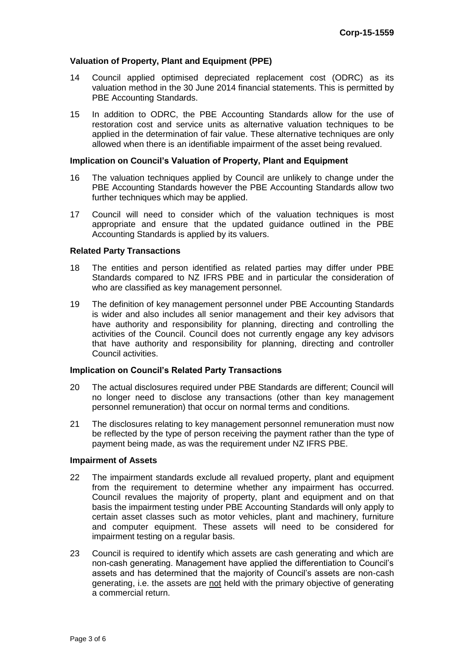### **Valuation of Property, Plant and Equipment (PPE)**

- 14 Council applied optimised depreciated replacement cost (ODRC) as its valuation method in the 30 June 2014 financial statements. This is permitted by PBE Accounting Standards.
- 15 In addition to ODRC, the PBE Accounting Standards allow for the use of restoration cost and service units as alternative valuation techniques to be applied in the determination of fair value. These alternative techniques are only allowed when there is an identifiable impairment of the asset being revalued.

#### **Implication on Council's Valuation of Property, Plant and Equipment**

- 16 The valuation techniques applied by Council are unlikely to change under the PBE Accounting Standards however the PBE Accounting Standards allow two further techniques which may be applied.
- 17 Council will need to consider which of the valuation techniques is most appropriate and ensure that the updated guidance outlined in the PBE Accounting Standards is applied by its valuers.

#### **Related Party Transactions**

- 18 The entities and person identified as related parties may differ under PBE Standards compared to NZ IFRS PBE and in particular the consideration of who are classified as key management personnel.
- 19 The definition of key management personnel under PBE Accounting Standards is wider and also includes all senior management and their key advisors that have authority and responsibility for planning, directing and controlling the activities of the Council. Council does not currently engage any key advisors that have authority and responsibility for planning, directing and controller Council activities.

#### **Implication on Council's Related Party Transactions**

- 20 The actual disclosures required under PBE Standards are different; Council will no longer need to disclose any transactions (other than key management personnel remuneration) that occur on normal terms and conditions.
- 21 The disclosures relating to key management personnel remuneration must now be reflected by the type of person receiving the payment rather than the type of payment being made, as was the requirement under NZ IFRS PBE.

#### **Impairment of Assets**

- 22 The impairment standards exclude all revalued property, plant and equipment from the requirement to determine whether any impairment has occurred. Council revalues the majority of property, plant and equipment and on that basis the impairment testing under PBE Accounting Standards will only apply to certain asset classes such as motor vehicles, plant and machinery, furniture and computer equipment. These assets will need to be considered for impairment testing on a regular basis.
- 23 Council is required to identify which assets are cash generating and which are non-cash generating. Management have applied the differentiation to Council's assets and has determined that the majority of Council's assets are non-cash generating, i.e. the assets are not held with the primary objective of generating a commercial return.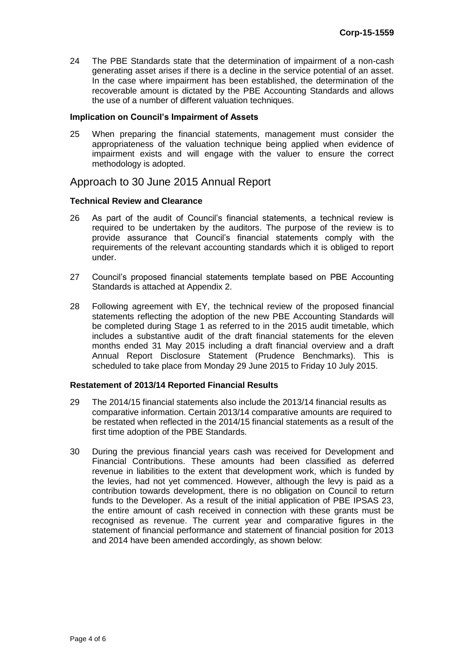24 The PBE Standards state that the determination of impairment of a non-cash generating asset arises if there is a decline in the service potential of an asset. In the case where impairment has been established, the determination of the recoverable amount is dictated by the PBE Accounting Standards and allows the use of a number of different valuation techniques.

#### **Implication on Council's Impairment of Assets**

25 When preparing the financial statements, management must consider the appropriateness of the valuation technique being applied when evidence of impairment exists and will engage with the valuer to ensure the correct methodology is adopted.

## Approach to 30 June 2015 Annual Report

#### **Technical Review and Clearance**

- 26 As part of the audit of Council's financial statements, a technical review is required to be undertaken by the auditors. The purpose of the review is to provide assurance that Council's financial statements comply with the requirements of the relevant accounting standards which it is obliged to report under.
- 27 Council's proposed financial statements template based on PBE Accounting Standards is attached at Appendix 2.
- 28 Following agreement with EY, the technical review of the proposed financial statements reflecting the adoption of the new PBE Accounting Standards will be completed during Stage 1 as referred to in the 2015 audit timetable, which includes a substantive audit of the draft financial statements for the eleven months ended 31 May 2015 including a draft financial overview and a draft Annual Report Disclosure Statement (Prudence Benchmarks). This is scheduled to take place from Monday 29 June 2015 to Friday 10 July 2015.

#### **Restatement of 2013/14 Reported Financial Results**

- 29 The 2014/15 financial statements also include the 2013/14 financial results as comparative information. Certain 2013/14 comparative amounts are required to be restated when reflected in the 2014/15 financial statements as a result of the first time adoption of the PBE Standards.
- 30 During the previous financial years cash was received for Development and Financial Contributions. These amounts had been classified as deferred revenue in liabilities to the extent that development work, which is funded by the levies, had not yet commenced. However, although the levy is paid as a contribution towards development, there is no obligation on Council to return funds to the Developer. As a result of the initial application of PBE IPSAS 23, the entire amount of cash received in connection with these grants must be recognised as revenue. The current year and comparative figures in the statement of financial performance and statement of financial position for 2013 and 2014 have been amended accordingly, as shown below: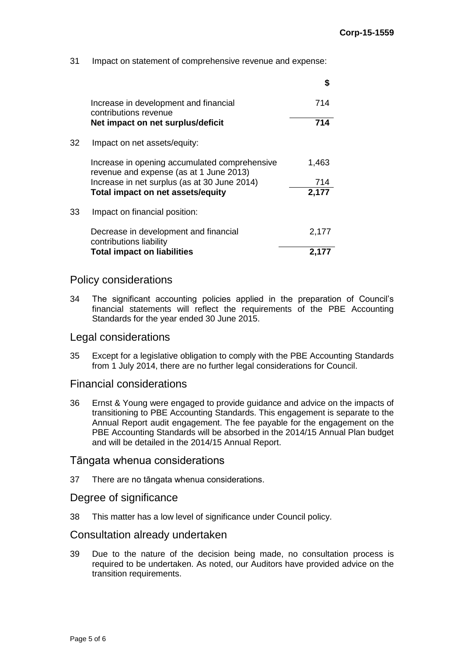31 Impact on statement of comprehensive revenue and expense:

|     |                                                                                          | S     |
|-----|------------------------------------------------------------------------------------------|-------|
|     | Increase in development and financial<br>contributions revenue                           | 714   |
|     | Net impact on net surplus/deficit                                                        | 714   |
| 32. | Impact on net assets/equity:                                                             |       |
|     | Increase in opening accumulated comprehensive<br>revenue and expense (as at 1 June 2013) | 1,463 |
|     | Increase in net surplus (as at 30 June 2014)                                             | 714   |
|     | Total impact on net assets/equity                                                        | 2,177 |
| 33  | Impact on financial position:                                                            |       |
|     | Decrease in development and financial<br>contributions liability                         | 2,177 |
|     | <b>Total impact on liabilities</b>                                                       | 2.1   |
|     |                                                                                          |       |

## Policy considerations

34 The significant accounting policies applied in the preparation of Council's financial statements will reflect the requirements of the PBE Accounting Standards for the year ended 30 June 2015.

## Legal considerations

35 Except for a legislative obligation to comply with the PBE Accounting Standards from 1 July 2014, there are no further legal considerations for Council.

## Financial considerations

36 Ernst & Young were engaged to provide guidance and advice on the impacts of transitioning to PBE Accounting Standards. This engagement is separate to the Annual Report audit engagement. The fee payable for the engagement on the PBE Accounting Standards will be absorbed in the 2014/15 Annual Plan budget and will be detailed in the 2014/15 Annual Report.

## Tāngata whenua considerations

37 There are no tāngata whenua considerations.

## Degree of significance

38 This matter has a low level of significance under Council policy.

## Consultation already undertaken

39 Due to the nature of the decision being made, no consultation process is required to be undertaken. As noted, our Auditors have provided advice on the transition requirements.